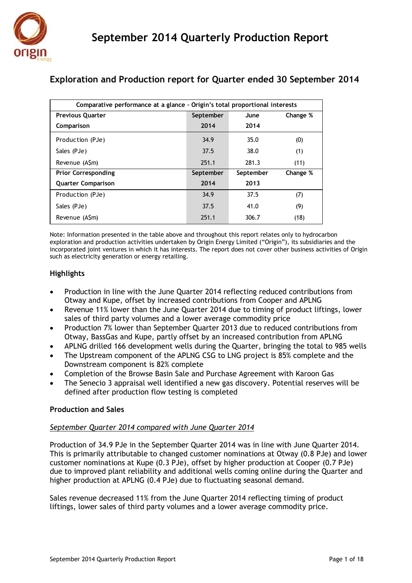

| Comparative performance at a glance - Origin's total proportional interests |           |           |          |  |  |  |  |  |
|-----------------------------------------------------------------------------|-----------|-----------|----------|--|--|--|--|--|
| <b>Previous Quarter</b>                                                     | September | June      | Change % |  |  |  |  |  |
| Comparison                                                                  | 2014      | 2014      |          |  |  |  |  |  |
| Production (PJe)                                                            | 34.9      | 35.0      | (0)      |  |  |  |  |  |
| Sales (PJe)                                                                 | 37.5      | 38.0      | (1)      |  |  |  |  |  |
| Revenue (A\$m)                                                              | 251.1     | 281.3     | (11)     |  |  |  |  |  |
| <b>Prior Corresponding</b>                                                  | September | September | Change % |  |  |  |  |  |
| <b>Quarter Comparison</b>                                                   | 2014      | 2013      |          |  |  |  |  |  |
| Production (PJe)                                                            | 34.9      | 37.5      | (7)      |  |  |  |  |  |
| Sales (PJe)                                                                 | 37.5      | 41.0      | (9)      |  |  |  |  |  |
| Revenue (A\$m)                                                              | 251.1     | 306.7     | (18)     |  |  |  |  |  |

# **Exploration and Production report for Quarter ended 30 September 2014**

Note: Information presented in the table above and throughout this report relates only to hydrocarbon exploration and production activities undertaken by Origin Energy Limited ("Origin"), its subsidiaries and the incorporated joint ventures in which it has interests. The report does not cover other business activities of Origin such as electricity generation or energy retailing.

### **Highlights**

- Production in line with the June Quarter 2014 reflecting reduced contributions from Otway and Kupe, offset by increased contributions from Cooper and APLNG
- Revenue 11% lower than the June Quarter 2014 due to timing of product liftings, lower sales of third party volumes and a lower average commodity price
- x Production 7% lower than September Quarter 2013 due to reduced contributions from Otway, BassGas and Kupe, partly offset by an increased contribution from APLNG
- x APLNG drilled 166 development wells during the Quarter, bringing the total to 985 wells
- The Upstream component of the APLNG CSG to LNG project is 85% complete and the Downstream component is 82% complete
- Completion of the Browse Basin Sale and Purchase Agreement with Karoon Gas
- x The Senecio 3 appraisal well identified a new gas discovery. Potential reserves will be defined after production flow testing is completed

### **Production and Sales**

### *September Quarter 2014 compared with June Quarter 2014*

Production of 34.9 PJe in the September Quarter 2014 was in line with June Quarter 2014. This is primarily attributable to changed customer nominations at Otway (0.8 PJe) and lower customer nominations at Kupe (0.3 PJe), offset by higher production at Cooper (0.7 PJe) due to improved plant reliability and additional wells coming online during the Quarter and higher production at APLNG (0.4 PJe) due to fluctuating seasonal demand.

Sales revenue decreased 11% from the June Quarter 2014 reflecting timing of product liftings, lower sales of third party volumes and a lower average commodity price.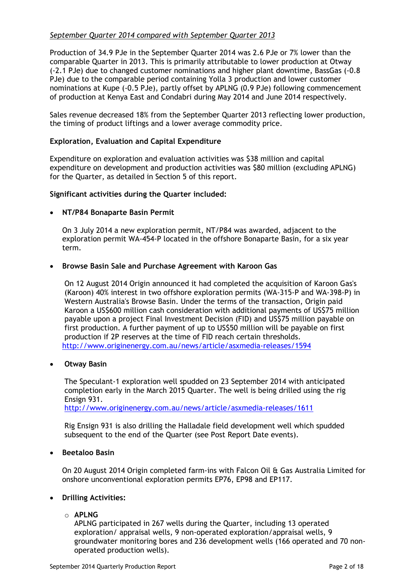### *September Quarter 2014 compared with September Quarter 2013*

Production of 34.9 PJe in the September Quarter 2014 was 2.6 PJe or 7% lower than the comparable Quarter in 2013. This is primarily attributable to lower production at Otway (-2.1 PJe) due to changed customer nominations and higher plant downtime, BassGas (-0.8 PJe) due to the comparable period containing Yolla 3 production and lower customer nominations at Kupe (-0.5 PJe), partly offset by APLNG (0.9 PJe) following commencement of production at Kenya East and Condabri during May 2014 and June 2014 respectively.

Sales revenue decreased 18% from the September Quarter 2013 reflecting lower production, the timing of product liftings and a lower average commodity price.

### **Exploration, Evaluation and Capital Expenditure**

Expenditure on exploration and evaluation activities was \$38 million and capital expenditure on development and production activities was \$80 million (excluding APLNG) for the Quarter, as detailed in Section 5 of this report.

**Significant activities during the Quarter included:** 

### x **NT/P84 Bonaparte Basin Permit**

On 3 July 2014 a new exploration permit, NT/P84 was awarded, adjacent to the exploration permit WA-454-P located in the offshore Bonaparte Basin, for a six year term.

#### **• Browse Basin Sale and Purchase Agreement with Karoon Gas**

On 12 August 2014 Origin announced it had completed the acquisition of Karoon Gas's (Karoon) 40% interest in two offshore exploration permits (WA-315-P and WA-398-P) in Western Australia's Browse Basin. Under the terms of the transaction, Origin paid Karoon a US\$600 million cash consideration with additional payments of US\$75 million payable upon a project Final Investment Decision (FID) and US\$75 million payable on first production. A further payment of up to US\$50 million will be payable on first production if 2P reserves at the time of FID reach certain thresholds. http://www.originenergy.com.au/news/article/asxmedia-releases/1594

### **Otway Basin**

The Speculant-1 exploration well spudded on 23 September 2014 with anticipated completion early in the March 2015 Quarter. The well is being drilled using the rig Ensign 931.

http://www.originenergy.com.au/news/article/asxmedia-releases/1611

Rig Ensign 931 is also drilling the Halladale field development well which spudded subsequent to the end of the Quarter (see Post Report Date events).

### x **Beetaloo Basin**

On 20 August 2014 Origin completed farm-ins with Falcon Oil & Gas Australia Limited for onshore unconventional exploration permits EP76, EP98 and EP117.

### **•** Drilling Activities:

### o **APLNG**

APLNG participated in 267 wells during the Quarter, including 13 operated exploration/ appraisal wells, 9 non-operated exploration/appraisal wells, 9 groundwater monitoring bores and 236 development wells (166 operated and 70 nonoperated production wells).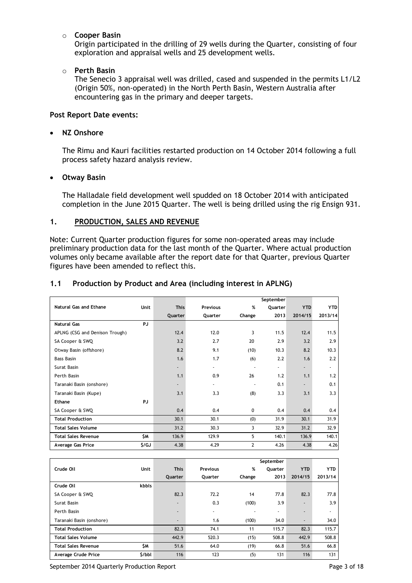#### o **Cooper Basin**

Origin participated in the drilling of 29 wells during the Quarter, consisting of four exploration and appraisal wells and 25 development wells.

#### o **Perth Basin**

The Senecio 3 appraisal well was drilled, cased and suspended in the permits L1/L2 (Origin 50%, non-operated) in the North Perth Basin, Western Australia after encountering gas in the primary and deeper targets.

#### **Post Report Date events:**

#### x **NZ Onshore**

The Rimu and Kauri facilities restarted production on 14 October 2014 following a full process safety hazard analysis review.

#### x **Otway Basin**

The Halladale field development well spudded on 18 October 2014 with anticipated completion in the June 2015 Quarter. The well is being drilled using the rig Ensign 931.

### **1. PRODUCTION, SALES AND REVENUE**

Note: Current Quarter production figures for some non-operated areas may include preliminary production data for the last month of the Quarter. Where actual production volumes only became available after the report date for that Quarter, previous Quarter figures have been amended to reflect this.

### **1.1 Production by Product and Area (including interest in APLNG)**

|                                |             |                          |                          |                          | September |            |            |
|--------------------------------|-------------|--------------------------|--------------------------|--------------------------|-----------|------------|------------|
| Natural Gas and Ethane         | <b>Unit</b> | <b>This</b>              | <b>Previous</b>          | %                        | Quarter   | <b>YTD</b> | <b>YTD</b> |
|                                |             | Quarter                  | Quarter                  | Change                   | 2013      | 2014/15    | 2013/14    |
| <b>Natural Gas</b>             | PJ          |                          |                          |                          |           |            |            |
| APLNG (CSG and Denison Trough) |             | 12.4                     | 12.0                     | 3                        | 11.5      | 12.4       | 11.5       |
| SA Cooper & SWQ                |             | 3.2                      | 2.7                      | 20                       | 2.9       | 3.2        | 2.9        |
| Otway Basin (offshore)         |             | 8.2                      | 9.1                      | (10)                     | 10.3      | 8.2        | 10.3       |
| <b>Bass Basin</b>              |             | 1.6                      | 1.7                      | (6)                      | 2.2       | 1.6        | 2.2        |
| Surat Basin                    |             | ۰.                       | $\overline{\phantom{a}}$ | $\overline{\phantom{a}}$ | $\sim$    | $\sim$     | $\sim$     |
| Perth Basin                    |             | 1.1                      | 0.9                      | 26                       | 1.2       | 1.1        | 1.2        |
| Taranaki Basin (onshore)       |             | $\overline{\phantom{a}}$ | $\overline{\phantom{a}}$ |                          | 0.1       | $\sim$     | 0.1        |
| Taranaki Basin (Kupe)          |             | 3.1                      | 3.3                      | (8)                      | 3.3       | 3.1        | 3.3        |
| Ethane                         | PJ          |                          |                          |                          |           |            |            |
| SA Cooper & SWQ                |             | 0.4                      | 0.4                      | 0                        | 0.4       | 0.4        | 0.4        |
| <b>Total Production</b>        |             | 30.1                     | 30.1                     | (0)                      | 31.9      | 30.1       | 31.9       |
| <b>Total Sales Volume</b>      |             | 31.2                     | 30.3                     | 3                        | 32.9      | 31.2       | 32.9       |
| <b>Total Sales Revenue</b>     | \$M         | 136.9                    | 129.9                    | 5                        | 140.1     | 136.9      | 140.1      |
| Average Gas Price              | \$/GJ       | 4.38                     | 4.29                     | $\overline{2}$           | 4.26      | 4.38       | 4.26       |

|                            |        |                          |                          |                          | September |                          |            |
|----------------------------|--------|--------------------------|--------------------------|--------------------------|-----------|--------------------------|------------|
| Crude Oil                  | Unit   | <b>This</b>              | Previous                 | %                        | Quarter   | <b>YTD</b>               | <b>YTD</b> |
|                            |        | Quarter                  | Quarter                  | Change                   | 2013      | 2014/15                  | 2013/14    |
| Crude Oil                  | kbbls  |                          |                          |                          |           |                          |            |
| SA Cooper & SWQ            |        | 82.3                     | 72.2                     | 14                       | 77.8      | 82.3                     | 77.8       |
| Surat Basin                |        | $\overline{\phantom{a}}$ | 0.3                      | (100)                    | 3.9       | ٠                        | 3.9        |
| Perth Basin                |        | ٠                        | $\overline{\phantom{a}}$ | $\overline{\phantom{a}}$ | ٠         | $\overline{\phantom{a}}$ | ٠          |
| Taranaki Basin (onshore)   |        | $\overline{\phantom{a}}$ | 1.6                      | (100)                    | 34.0      | ٠                        | 34.0       |
| <b>Total Production</b>    |        | 82.3                     | 74.1                     | 11                       | 115.7     | 82.3                     | 115.7      |
| Total Sales Volume         |        | 442.9                    | 520.3                    | (15)                     | 508.8     | 442.9                    | 508.8      |
| <b>Total Sales Revenue</b> | \$M    | 51.6                     | 64.0                     | (19)                     | 66.8      | 51.6                     | 66.8       |
| Average Crude Price        | \$/bbl | 116                      | 123                      | (5)                      | 131       | 116                      | 131        |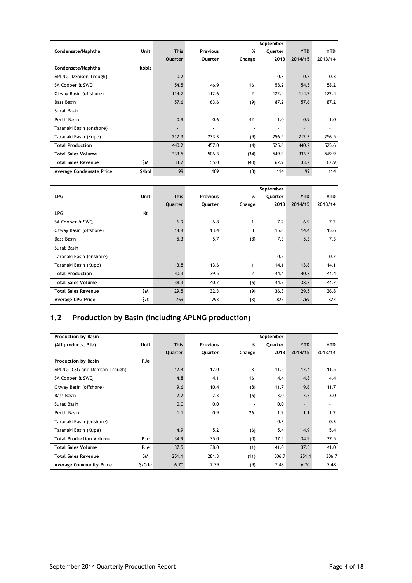|                           |        |                          |                          |        | September |                          |                          |
|---------------------------|--------|--------------------------|--------------------------|--------|-----------|--------------------------|--------------------------|
| Condensate/Naphtha        | Unit   | <b>This</b>              | Previous                 | %      | Quarter   | <b>YTD</b>               | <b>YTD</b>               |
|                           |        | Quarter                  | Quarter                  | Change | 2013      | 2014/15                  | 2013/14                  |
| Condensate/Naphtha        | kbbls  |                          |                          |        |           |                          |                          |
| APLNG (Denison Trough)    |        | 0.2                      | $\overline{\phantom{a}}$ |        | 0.3       | 0.2                      | 0.3                      |
| SA Cooper & SWQ           |        | 54.5                     | 46.9                     | 16     | 58.2      | 54.5                     | 58.2                     |
| Otway Basin (offshore)    |        | 114.7                    | 112.6                    | 2      | 122.4     | 114.7                    | 122.4                    |
| <b>Bass Basin</b>         |        | 57.6                     | 63.6                     | (9)    | 87.2      | 57.6                     | 87.2                     |
| Surat Basin               |        | $\overline{\phantom{a}}$ | $\overline{\phantom{a}}$ |        | ٠         | $\overline{\phantom{a}}$ | $\overline{\phantom{a}}$ |
| Perth Basin               |        | 0.9                      | 0.6                      | 42     | 1.0       | 0.9                      | 1.0                      |
| Taranaki Basin (onshore)  |        |                          | ٠                        |        | ٠         |                          | $\overline{\phantom{a}}$ |
| Taranaki Basin (Kupe)     |        | 212.3                    | 233.3                    | (9)    | 256.5     | 212.3                    | 256.5                    |
| <b>Total Production</b>   |        | 440.2                    | 457.0                    | (4)    | 525.6     | 440.2                    | 525.6                    |
| <b>Total Sales Volume</b> |        | 333.5                    | 506.3                    | (34)   | 549.9     | 333.5                    | 549.9                    |
| Total Sales Revenue       | \$M    | 33.2                     | 55.0                     | (40)   | 62.9      | 33.2                     | 62.9                     |
| Average Condensate Price  | \$/bbl | 99                       | 109                      | (8)    | 114       | 99                       | 114                      |

|                           |      |                          |          |                | September |                |                |
|---------------------------|------|--------------------------|----------|----------------|-----------|----------------|----------------|
| <b>LPG</b>                | Unit | <b>This</b>              | Previous | %              | Quarter   | <b>YTD</b>     | <b>YTD</b>     |
|                           |      | Quarter                  | Quarter  | Change         | 2013      | 2014/15        | 2013/14        |
| <b>LPG</b>                | Kt   |                          |          |                |           |                |                |
| SA Cooper & SWQ           |      | 6.9                      | 6.8      | $\mathbf{1}$   | 7.2       | 6.9            | 7.2            |
| Otway Basin (offshore)    |      | 14.4                     | 13.4     | 8              | 15.6      | 14.4           | 15.6           |
| Bass Basin                |      | 5.3                      | 5.7      | (8)            | 7.3       | 5.3            | 7.3            |
| Surat Basin               |      | $\overline{\phantom{a}}$ | $\sim$   |                | ٠         | $\sim$         | $\blacksquare$ |
| Taranaki Basin (onshore)  |      | $\overline{\phantom{a}}$ | $\sim$   |                | 0.2       | $\blacksquare$ | 0.2            |
| Taranaki Basin (Kupe)     |      | 13.8                     | 13.6     | 1              | 14.1      | 13.8           | 14.1           |
| <b>Total Production</b>   |      | 40.3                     | 39.5     | $\overline{2}$ | 44.4      | 40.3           | 44.4           |
| <b>Total Sales Volume</b> |      | 38.3                     | 40.7     | (6)            | 44.7      | 38.3           | 44.7           |
| Total Sales Revenue       | \$M  | 29.5                     | 32.3     | (9)            | 36.8      | 29.5           | 36.8           |
| Average LPG Price         | \$/t | 769                      | 793      | (3)            | 822       | 769            | 822            |

# **1.2 Production by Basin (including APLNG production)**

| Production by Basin            |           |             |          |        | September |            |                |
|--------------------------------|-----------|-------------|----------|--------|-----------|------------|----------------|
| (All products, PJe)            | Unit      | <b>This</b> | Previous | %      | Quarter   | <b>YTD</b> | <b>YTD</b>     |
|                                |           | Quarter     | Quarter  | Change | 2013      | 2014/15    | 2013/14        |
| Production by Basin            | PJe       |             |          |        |           |            |                |
| APLNG (CSG and Denison Trough) |           | 12.4        | 12.0     | 3      | 11.5      | 12.4       | 11.5           |
| SA Cooper & SWQ                |           | 4.8         | 4.1      | 16     | 4.4       | 4.8        | 4.4            |
| Otway Basin (offshore)         |           | 9.6         | 10.4     | (8)    | 11.7      | 9.6        | 11.7           |
| Bass Basin                     |           | 2.2         | 2.3      | (6)    | 3.0       | 2.2        | 3.0            |
| Surat Basin                    |           | 0.0         | 0.0      |        | 0.0       | ٠          | $\blacksquare$ |
| Perth Basin                    |           | 1.1         | 0.9      | 26     | 1.2       | 1.1        | 1.2            |
| Taranaki Basin (onshore)       |           |             | ٠        |        | 0.3       | $\sim$     | 0.3            |
| Taranaki Basin (Kupe)          |           | 4.9         | 5.2      | (6)    | 5.4       | 4.9        | 5.4            |
| <b>Total Production Volume</b> | PJe       | 34.9        | 35.0     | (0)    | 37.5      | 34.9       | 37.5           |
| <b>Total Sales Volume</b>      | PJe       | 37.5        | 38.0     | (1)    | 41.0      | 37.5       | 41.0           |
| Total Sales Revenue            | <b>SM</b> | 251.1       | 281.3    | (11)   | 306.7     | 251.1      | 306.7          |
| Average Commodity Price        | \$/GJe    | 6.70        | 7.39     | (9)    | 7.48      | 6.70       | 7.48           |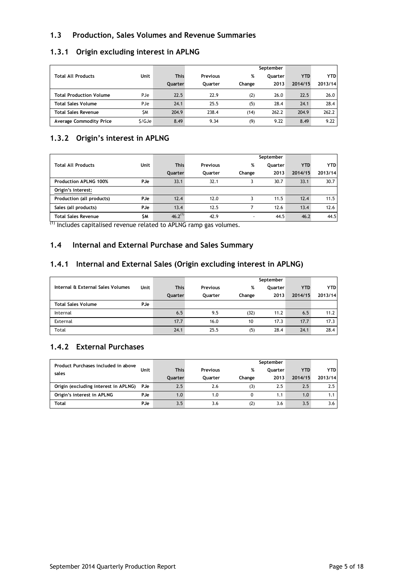### **1.3 Production, Sales Volumes and Revenue Summaries**

# **1.3.1 Origin excluding interest in APLNG**

|                                |           |                |                 |        | September      |            |         |
|--------------------------------|-----------|----------------|-----------------|--------|----------------|------------|---------|
| <b>Total All Products</b>      | Unit      | <b>This</b>    | <b>Previous</b> | %      | <b>Ouarter</b> | <b>YTD</b> | YTD I   |
|                                |           | <b>Ouarter</b> | <b>Ouarter</b>  | Change | 2013           | 2014/15    | 2013/14 |
| <b>Total Production Volume</b> | PJe       | 22.5           | 22.9            | (2)    | 26.0           | 22.5       | 26.0    |
| <b>Total Sales Volume</b>      | PJe       | 24.1           | 25.5            | (5)    | 28.4           | 24.1       | 28.4    |
| Total Sales Revenue            | <b>SM</b> | 204.9          | 238.4           | (14)   | 262.2          | 204.9      | 262.2   |
| <b>Average Commodity Price</b> | \$/GJe    | 8.49           | 9.34            | (9)    | 9.22           | 8.49       | 9.22    |

### **1.3.2 Origin's interest in APLNG**

|                              |      |                |                 |        | September      |            |            |
|------------------------------|------|----------------|-----------------|--------|----------------|------------|------------|
| <b>Total All Products</b>    | Unit | <b>This</b>    | <b>Previous</b> | %      | <b>Ouarter</b> | <b>YTD</b> | <b>YTD</b> |
|                              |      | <b>Ouarter</b> | <b>Ouarter</b>  | Change | 2013           | 2014/15    | 2013/14    |
| <b>Production APLNG 100%</b> | PJe  | 33.1           | 32.1            |        | 30.7           | 33.1       | 30.7       |
| Origin's interest:           |      |                |                 |        |                |            |            |
| Production (all products)    | PJe  | 12.4           | 12.0            |        | 11.5           | 12.4       | 11.5       |
| Sales (all products)         | PJe  | 13.4           | 12.5            |        | 12.6           | 13.4       | 12.6       |
| Total Sales Revenue          | \$М  | $46.2^{(1)}$   | 42.9            | -      | 44.5           | 46.2       | 44.5       |

 $\frac{1}{(1)}$  Includes capitalised revenue related to APLNG ramp gas volumes.

### **1.4 Internal and External Purchase and Sales Summary**

# **1.4.1 Internal and External Sales (Origin excluding interest in APLNG)**

|                                   |            |             |                 |        | September      |            |            |
|-----------------------------------|------------|-------------|-----------------|--------|----------------|------------|------------|
| Internal & External Sales Volumes | Unit       | <b>This</b> | <b>Previous</b> | %      | <b>Ouarter</b> | <b>YTD</b> | <b>YTD</b> |
|                                   |            | Quarter     | <b>Ouarter</b>  | Change | 2013           | 2014/15    | 2013/14    |
| <b>Total Sales Volume</b>         | <b>PJe</b> |             |                 |        |                |            |            |
| Internal                          |            | 6.5         | 9.5             | (32)   | 11.2           | 6.5        | 11.2       |
| External                          |            | 17.7        | 16.0            | 10     | 17.3           | 17.7       | 17.3       |
| Total                             |            | 24.1        | 25.5            | (5)    | 28.4           | 24.1       | 28.4       |

# **1.4.2 External Purchases**

| Product Purchases included in above  |      |                |          |        | September      |            |         |
|--------------------------------------|------|----------------|----------|--------|----------------|------------|---------|
| sales                                | Unit | <b>This</b>    | Previous | %      | <b>Ouarter</b> | <b>YTD</b> | YTD     |
|                                      |      | <b>Ouarter</b> | Ouarter  | Change | 2013           | 2014/15    | 2013/14 |
| Origin (excluding interest in APLNG) | PJe  | 2.5            | 2.6      | (3)    | 2.5            | 2.5        | 2.5     |
| Origin's interest in APLNG           | PJe  | 1.0            | 1.0      |        | 1.1            | 1.0        | 1.1     |
| Total                                | PJe  | 3.5            | 3.6      | (2)    | 3.6            | 3.5        | 3.6     |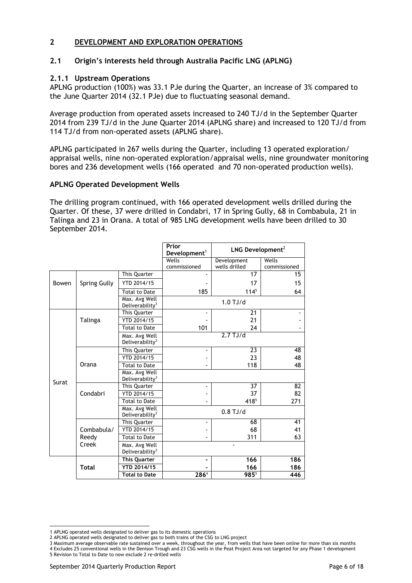### **2 DEVELOPMENT AND EXPLORATION OPERATIONS**

### **2.1 Origin's interests held through Australia Pacific LNG (APLNG)**

### **2.1.1 Upstream Operations**

APLNG production (100%) was 33.1 PJe during the Quarter, an increase of 3% compared to the June Quarter 2014 (32.1 PJe) due to fluctuating seasonal demand.

Average production from operated assets increased to 240 TJ/d in the September Quarter 2014 from 239 TJ/d in the June Quarter 2014 (APLNG share) and increased to 120 TJ/d from 114 TJ/d from non-operated assets (APLNG share).

APLNG participated in 267 wells during the Quarter, including 13 operated exploration/ appraisal wells, nine non-operated exploration/appraisal wells, nine groundwater monitoring bores and 236 development wells (166 operated and 70 non-operated production wells).

### **APLNG Operated Development Wells**

The drilling program continued, with 166 operated development wells drilled during the Quarter. Of these, 37 were drilled in Condabri, 17 in Spring Gully, 68 in Combabula, 21 in Talinga and 23 in Orana. A total of 985 LNG development wells have been drilled to 30 September 2014.

|       |                      |                                              | Prior<br>Development <sup>1</sup> | LNG Development <sup>2</sup> |              |  |  |
|-------|----------------------|----------------------------------------------|-----------------------------------|------------------------------|--------------|--|--|
|       |                      |                                              | Wells                             | Development                  | Wells        |  |  |
|       |                      |                                              | commissioned                      | wells drilled                | commissioned |  |  |
|       |                      | This Quarter                                 |                                   | 17                           | 15           |  |  |
| Bowen | <b>Spring Gully</b>  | YTD 2014/15                                  |                                   | 17                           | 15           |  |  |
|       |                      | <b>Total to Date</b>                         | 185                               | $114^{5}$                    | 64           |  |  |
|       |                      | Max. Avg Well<br>Deliverability <sup>3</sup> | $1.0$ TJ/d                        |                              |              |  |  |
|       |                      | This Quarter                                 |                                   | 21                           |              |  |  |
|       | Talinga              | <b>YTD 2014/15</b>                           |                                   | 21                           |              |  |  |
|       | <b>Total to Date</b> | 101                                          | 24                                |                              |              |  |  |
|       |                      | Max. Avg Well<br>Deliverability <sup>3</sup> |                                   |                              |              |  |  |
|       |                      | This Quarter                                 |                                   | 23                           | 48           |  |  |
|       |                      | <b>YTD 2014/15</b>                           |                                   | 23                           | 48           |  |  |
|       | Orana                | <b>Total to Date</b>                         |                                   | 118                          | 48           |  |  |
| Surat |                      | Max. Avg Well<br>Deliverability <sup>3</sup> |                                   |                              |              |  |  |
|       |                      | This Quarter                                 | ÷.                                | 37                           | 82           |  |  |
|       | Condabri             | <b>YTD 2014/15</b>                           |                                   | 37                           | 82           |  |  |
|       |                      | <b>Total to Date</b>                         |                                   | 4185                         | 271          |  |  |
|       |                      | Max. Avg Well<br>Deliverability <sup>3</sup> |                                   | $0.8$ TJ/d                   |              |  |  |
|       |                      | This Quarter                                 | ۰                                 | 68                           | 41           |  |  |
|       | Combabula/           | YTD 2014/15                                  |                                   | 68                           | 41           |  |  |
|       | Reedy                | Total to Date                                |                                   | 311                          | 63           |  |  |
|       | Creek                | Max. Avg Well<br>Deliverability <sup>3</sup> |                                   |                              |              |  |  |
|       |                      | <b>This Quarter</b>                          |                                   | 166                          | 186          |  |  |
|       | <b>Total</b>         | <b>YTD 2014/15</b>                           |                                   | 166                          | 186          |  |  |
|       |                      | <b>Total to Date</b>                         | 286 <sup>4</sup>                  | $985^{5}$                    | 446          |  |  |

<sup>1</sup> 1 APLNG operated wells designated to deliver gas to its domestic operations

<sup>2</sup> APLNG operated wells designated to deliver gas to both trains of the CSG to LNG project

<sup>3</sup> Maximum average observable rate sustained over a week, throughout the year, from wells that have been online for more than six months 4 Excludes 25 conventional wells in the Denison Trough and 23 CSG wells in the Peat Project Area not targeted for any Phase 1 development 5 Revision to Total to Date to now exclude 2 re-drilled wells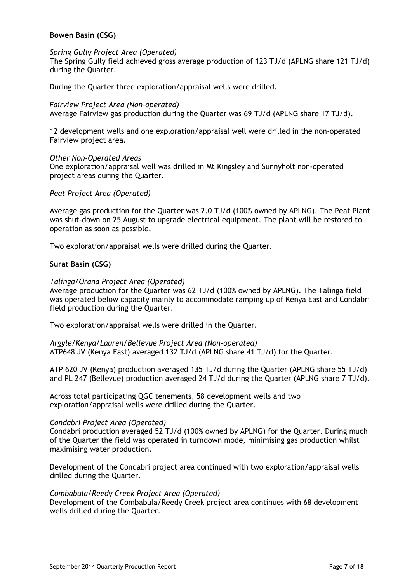### **Bowen Basin (CSG)**

#### *Spring Gully Project Area (Operated)*

The Spring Gully field achieved gross average production of 123 TJ/d (APLNG share 121 TJ/d) during the Quarter.

During the Quarter three exploration/appraisal wells were drilled.

#### *Fairview Project Area (Non-operated)*

Average Fairview gas production during the Quarter was 69 TJ/d (APLNG share 17 TJ/d).

12 development wells and one exploration/appraisal well were drilled in the non-operated Fairview project area.

#### *Other Non-Operated Areas*

One exploration/appraisal well was drilled in Mt Kingsley and Sunnyholt non-operated project areas during the Quarter.

#### *Peat Project Area (Operated)*

Average gas production for the Quarter was 2.0 TJ/d (100% owned by APLNG). The Peat Plant was shut-down on 25 August to upgrade electrical equipment. The plant will be restored to operation as soon as possible.

Two exploration/appraisal wells were drilled during the Quarter.

#### **Surat Basin (CSG)**

#### *Talinga/Orana Project Area (Operated)*

Average production for the Quarter was 62 TJ/d (100% owned by APLNG). The Talinga field was operated below capacity mainly to accommodate ramping up of Kenya East and Condabri field production during the Quarter.

Two exploration/appraisal wells were drilled in the Quarter.

*Argyle/Kenya/Lauren/Bellevue Project Area (Non-operated)*  ATP648 JV (Kenya East) averaged 132 TJ/d (APLNG share 41 TJ/d) for the Quarter.

ATP 620 JV (Kenya) production averaged 135 TJ/d during the Quarter (APLNG share 55 TJ/d) and PL 247 (Bellevue) production averaged 24 TJ/d during the Quarter (APLNG share 7 TJ/d).

Across total participating QGC tenements, 58 development wells and two exploration/appraisal wells were drilled during the Quarter.

#### *Condabri Project Area (Operated)*

Condabri production averaged 52 TJ/d (100% owned by APLNG) for the Quarter. During much of the Quarter the field was operated in turndown mode, minimising gas production whilst maximising water production.

Development of the Condabri project area continued with two exploration/appraisal wells drilled during the Quarter.

#### *Combabula/Reedy Creek Project Area (Operated)*

Development of the Combabula/Reedy Creek project area continues with 68 development wells drilled during the Quarter.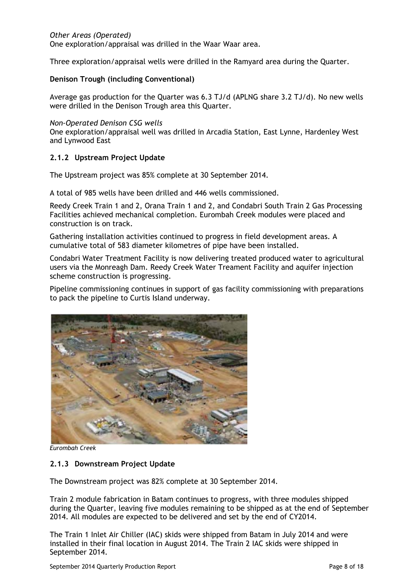### *Other Areas (Operated)*

One exploration/appraisal was drilled in the Waar Waar area.

Three exploration/appraisal wells were drilled in the Ramyard area during the Quarter.

### **Denison Trough (including Conventional)**

Average gas production for the Quarter was 6.3 TJ/d (APLNG share 3.2 TJ/d). No new wells were drilled in the Denison Trough area this Quarter.

#### *Non-Operated Denison CSG wells*

One exploration/appraisal well was drilled in Arcadia Station, East Lynne, Hardenley West and Lynwood East

### **2.1.2 Upstream Project Update**

The Upstream project was 85% complete at 30 September 2014.

A total of 985 wells have been drilled and 446 wells commissioned.

Reedy Creek Train 1 and 2, Orana Train 1 and 2, and Condabri South Train 2 Gas Processing Facilities achieved mechanical completion. Eurombah Creek modules were placed and construction is on track.

Gathering installation activities continued to progress in field development areas. A cumulative total of 583 diameter kilometres of pipe have been installed.

Condabri Water Treatment Facility is now delivering treated produced water to agricultural users via the Monreagh Dam. Reedy Creek Water Treament Facility and aquifer injection scheme construction is progressing.

Pipeline commissioning continues in support of gas facility commissioning with preparations to pack the pipeline to Curtis Island underway.



*Eurombah Creek* 

### **2.1.3 Downstream Project Update**

The Downstream project was 82% complete at 30 September 2014.

Train 2 module fabrication in Batam continues to progress, with three modules shipped during the Quarter, leaving five modules remaining to be shipped as at the end of September 2014. All modules are expected to be delivered and set by the end of CY2014.

The Train 1 Inlet Air Chiller (IAC) skids were shipped from Batam in July 2014 and were installed in their final location in August 2014. The Train 2 IAC skids were shipped in September 2014.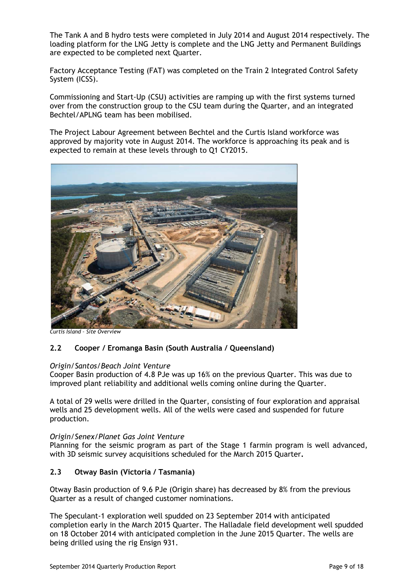The Tank A and B hydro tests were completed in July 2014 and August 2014 respectively. The loading platform for the LNG Jetty is complete and the LNG Jetty and Permanent Buildings are expected to be completed next Quarter.

Factory Acceptance Testing (FAT) was completed on the Train 2 Integrated Control Safety System (ICSS).

Commissioning and Start-Up (CSU) activities are ramping up with the first systems turned over from the construction group to the CSU team during the Quarter, and an integrated Bechtel/APLNG team has been mobilised.

The Project Labour Agreement between Bechtel and the Curtis Island workforce was approved by majority vote in August 2014. The workforce is approaching its peak and is expected to remain at these levels through to Q1 CY2015.



*Curtis Island – Site Overview* 

### **2.2 Cooper / Eromanga Basin (South Australia / Queensland)**

#### *Origin/Santos/Beach Joint Venture*

Cooper Basin production of 4.8 PJe was up 16% on the previous Quarter. This was due to improved plant reliability and additional wells coming online during the Quarter.

A total of 29 wells were drilled in the Quarter, consisting of four exploration and appraisal wells and 25 development wells. All of the wells were cased and suspended for future production.

#### *Origin/Senex/Planet Gas Joint Venture*

Planning for the seismic program as part of the Stage 1 farmin program is well advanced, with 3D seismic survey acquisitions scheduled for the March 2015 Quarter**.**

### **2.3 Otway Basin (Victoria / Tasmania)**

Otway Basin production of 9.6 PJe (Origin share) has decreased by 8% from the previous Quarter as a result of changed customer nominations.

The Speculant-1 exploration well spudded on 23 September 2014 with anticipated completion early in the March 2015 Quarter. The Halladale field development well spudded on 18 October 2014 with anticipated completion in the June 2015 Quarter. The wells are being drilled using the rig Ensign 931.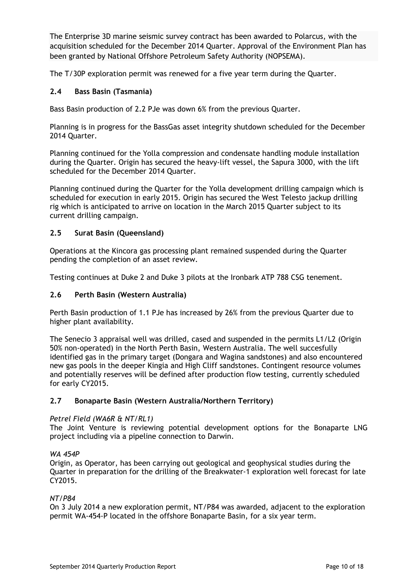The Enterprise 3D marine seismic survey contract has been awarded to Polarcus, with the acquisition scheduled for the December 2014 Quarter. Approval of the Environment Plan has been granted by National Offshore Petroleum Safety Authority (NOPSEMA).

The T/30P exploration permit was renewed for a five year term during the Quarter.

### **2.4 Bass Basin (Tasmania)**

Bass Basin production of 2.2 PJe was down 6% from the previous Quarter.

Planning is in progress for the BassGas asset integrity shutdown scheduled for the December 2014 Quarter.

Planning continued for the Yolla compression and condensate handling module installation during the Quarter. Origin has secured the heavy-lift vessel, the Sapura 3000, with the lift scheduled for the December 2014 Quarter.

Planning continued during the Quarter for the Yolla development drilling campaign which is scheduled for execution in early 2015. Origin has secured the West Telesto jackup drilling rig which is anticipated to arrive on location in the March 2015 Quarter subject to its current drilling campaign.

### **2.5 Surat Basin (Queensland)**

Operations at the Kincora gas processing plant remained suspended during the Quarter pending the completion of an asset review.

Testing continues at Duke 2 and Duke 3 pilots at the Ironbark ATP 788 CSG tenement.

### **2.6 Perth Basin (Western Australia)**

Perth Basin production of 1.1 PJe has increased by 26% from the previous Quarter due to higher plant availability.

The Senecio 3 appraisal well was drilled, cased and suspended in the permits L1/L2 (Origin 50% non-operated) in the North Perth Basin, Western Australia. The well succesfully identified gas in the primary target (Dongara and Wagina sandstones) and also encountered new gas pools in the deeper Kingia and High Cliff sandstones. Contingent resource volumes and potentially reserves will be defined after production flow testing, currently scheduled for early CY2015.

### **2.7 Bonaparte Basin (Western Australia/Northern Territory)**

### *Petrel Field (WA6R & NT/RL1)*

The Joint Venture is reviewing potential development options for the Bonaparte LNG project including via a pipeline connection to Darwin.

### *WA 454P*

Origin, as Operator, has been carrying out geological and geophysical studies during the Quarter in preparation for the drilling of the Breakwater-1 exploration well forecast for late CY2015.

### *NT/P84*

On 3 July 2014 a new exploration permit, NT/P84 was awarded, adjacent to the exploration permit WA-454-P located in the offshore Bonaparte Basin, for a six year term.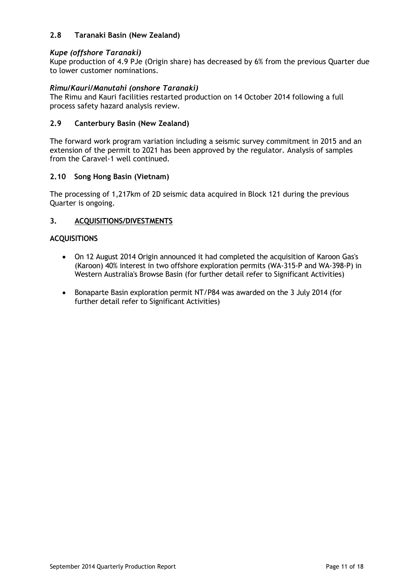### **2.8 Taranaki Basin (New Zealand)**

#### *Kupe (offshore Taranaki)*

Kupe production of 4.9 PJe (Origin share) has decreased by 6% from the previous Quarter due to lower customer nominations.

#### *Rimu/Kauri/Manutahi (onshore Taranaki)*

The Rimu and Kauri facilities restarted production on 14 October 2014 following a full process safety hazard analysis review.

#### **2.9 Canterbury Basin (New Zealand)**

The forward work program variation including a seismic survey commitment in 2015 and an extension of the permit to 2021 has been approved by the regulator. Analysis of samples from the Caravel-1 well continued.

#### **2.10 Song Hong Basin (Vietnam)**

The processing of 1,217km of 2D seismic data acquired in Block 121 during the previous Quarter is ongoing.

#### **3. ACQUISITIONS/DIVESTMENTS**

#### **ACQUISITIONS**

- On 12 August 2014 Origin announced it had completed the acquisition of Karoon Gas's (Karoon) 40% interest in two offshore exploration permits (WA-315-P and WA-398-P) in Western Australia's Browse Basin (for further detail refer to Significant Activities)
- Bonaparte Basin exploration permit NT/P84 was awarded on the 3 July 2014 (for further detail refer to Significant Activities)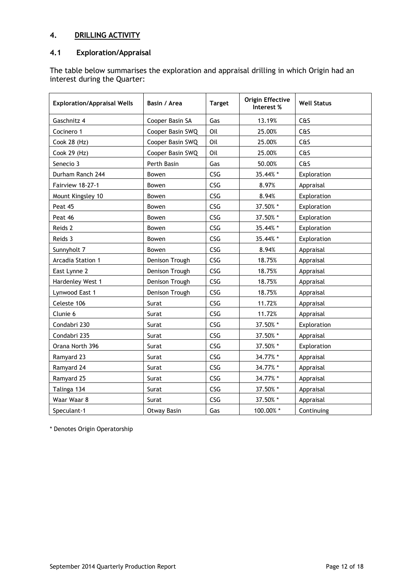# **4. DRILLING ACTIVITY**

### **4.1 Exploration/Appraisal**

The table below summarises the exploration and appraisal drilling in which Origin had an interest during the Quarter:

| <b>Exploration/Appraisal Wells</b> | Basin / Area     | <b>Target</b> | Origin Effective<br>Interest % | <b>Well Status</b> |
|------------------------------------|------------------|---------------|--------------------------------|--------------------|
| Gaschnitz 4                        | Cooper Basin SA  | Gas           | 13.19%                         | C <sub>0</sub>     |
| Cocinero 1                         | Cooper Basin SWQ | Oil           | 25.00%                         | C <sub>0</sub>     |
| Cook 28 (Hz)                       | Cooper Basin SWQ | Oil           | 25.00%                         | C <sub>0</sub>     |
| Cook 29 (Hz)                       | Cooper Basin SWQ | Oil           | 25.00%                         | C <sub>0</sub>     |
| Senecio 3                          | Perth Basin      | Gas           | 50.00%                         | C <sub>0</sub>     |
| Durham Ranch 244                   | Bowen            | CSG           | 35.44% *                       | Exploration        |
| Fairview 18-27-1                   | Bowen            | CSG           | 8.97%                          | Appraisal          |
| Mount Kingsley 10                  | Bowen            | CSG           | 8.94%                          | Exploration        |
| Peat 45                            | Bowen            | CSG           | 37.50% *                       | Exploration        |
| Peat 46                            | Bowen            | CSG           | 37.50% *                       | Exploration        |
| Reids 2                            | Bowen            | CSG           | 35.44% *                       | Exploration        |
| Reids 3                            | Bowen            | CSG           | 35.44% *                       | Exploration        |
| Sunnyholt 7                        | Bowen            | CSG           | 8.94%                          | Appraisal          |
| Arcadia Station 1                  | Denison Trough   | CSG           | 18.75%                         | Appraisal          |
| East Lynne 2                       | Denison Trough   | CSG           | 18.75%                         | Appraisal          |
| Hardenley West 1                   | Denison Trough   | CSG           | 18.75%                         | Appraisal          |
| Lynwood East 1                     | Denison Trough   | CSG           | 18.75%                         | Appraisal          |
| Celeste 106                        | Surat            | CSG           | 11.72%                         | Appraisal          |
| Clunie 6                           | Surat            | CSG           | 11.72%                         | Appraisal          |
| Condabri 230                       | Surat            | CSG           | 37.50% *                       | Exploration        |
| Condabri 235                       | Surat            | CSG           | 37.50% *                       | Appraisal          |
| Orana North 396                    | Surat            | CSG           | 37.50% *                       | Exploration        |
| Ramyard 23                         | Surat            | CSG           | 34.77% *                       | Appraisal          |
| Ramyard 24                         | Surat            | CSG           | 34.77% *                       | Appraisal          |
| Ramyard 25                         | Surat            | CSG           | 34.77% *                       | Appraisal          |
| Talinga 134                        | Surat            | CSG           | 37.50% *                       | Appraisal          |
| Waar Waar 8                        | Surat            | CSG           | 37.50% *                       | Appraisal          |
| Speculant-1                        | Otway Basin      | Gas           | 100.00%*                       | Continuing         |

\* Denotes Origin Operatorship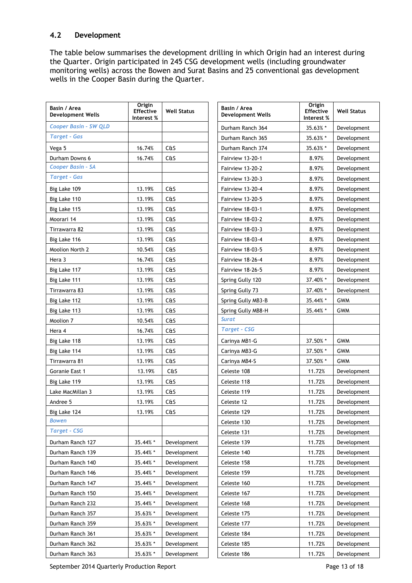### **4.2 Development**

The table below summarises the development drilling in which Origin had an interest during the Quarter. Origin participated in 245 CSG development wells (including groundwater monitoring wells) across the Bowen and Surat Basins and 25 conventional gas development wells in the Cooper Basin during the Quarter.

| Basin / Area<br><b>Development Wells</b> | Origin<br><b>Effective</b><br>Interest % | <b>Well Status</b> | Origin<br>Basin / Area<br><b>Effective</b><br><b>Development Wells</b><br>Interest % |          | <b>Well Status</b> |
|------------------------------------------|------------------------------------------|--------------------|--------------------------------------------------------------------------------------|----------|--------------------|
| <b>Cooper Basin - SW QLD</b>             |                                          |                    | Durham Ranch 364                                                                     | 35.63% * | Development        |
| <b>Target - Gas</b>                      |                                          |                    | Durham Ranch 365                                                                     | 35.63% * | Development        |
| Vega 5                                   | 16.74%                                   | C <sub>0</sub>     | Durham Ranch 374                                                                     | 35.63% * | Development        |
| Durham Downs 6                           | 16.74%                                   | C&S                | Fairview 13-20-1                                                                     | 8.97%    | Development        |
| <b>Cooper Basin - SA</b>                 |                                          |                    | Fairview 13-20-2                                                                     | 8.97%    | Development        |
| <b>Target - Gas</b>                      |                                          |                    | Fairview 13-20-3                                                                     | 8.97%    | Development        |
| Big Lake 109                             | 13.19%                                   | C <sub>0</sub>     | Fairview 13-20-4                                                                     | 8.97%    | Development        |
| Big Lake 110                             | 13.19%                                   | C <sub>0</sub>     | Fairview 13-20-5                                                                     | 8.97%    | Development        |
| Big Lake 115                             | 13.19%                                   | C <sub>0</sub>     | Fairview 18-03-1                                                                     | 8.97%    | Development        |
| Moorari 14                               | 13.19%                                   | C <sub>0</sub>     | Fairview 18-03-2                                                                     | 8.97%    | Development        |
| Tirrawarra 82                            | 13.19%                                   | C&S                | Fairview 18-03-3                                                                     | 8.97%    | Development        |
| Big Lake 116                             | 13.19%                                   | C <sub>0</sub>     | Fairview 18-03-4                                                                     | 8.97%    | Development        |
| <b>Moolion North 2</b>                   | 10.54%                                   | C <sub>0</sub>     | Fairview 18-03-5                                                                     | 8.97%    | Development        |
| Hera 3                                   | 16.74%                                   | C <sub>0</sub>     | Fairview 18-26-4                                                                     | 8.97%    | Development        |
| Big Lake 117                             | 13.19%                                   | CæS                | Fairview 18-26-5                                                                     | 8.97%    | Development        |
| Big Lake 111                             | 13.19%                                   | C <sub>0</sub>     | Spring Gully 120                                                                     | 37.40% * | Development        |
| Tirrawarra 83                            | 13.19%                                   | C <sub>0</sub>     | Spring Gully 73                                                                      | 37.40% * | Development        |
| Big Lake 112                             | 13.19%                                   | C <sub>0</sub>     | Spring Gully MB3-B                                                                   | 35.44% * | <b>GWM</b>         |
| Big Lake 113                             | 13.19%                                   | C <sub>0</sub>     | Spring Gully MB8-H                                                                   | 35.44% * | <b>GWM</b>         |
| Moolion 7                                | 10.54%                                   | C <sub>0</sub>     | <b>Surat</b>                                                                         |          |                    |
| Hera 4                                   | 16.74%                                   | C&S                | <b>Target - CSG</b>                                                                  |          |                    |
| Big Lake 118                             | 13.19%                                   | C&S                | Carinya MB1-G                                                                        | 37.50% * | <b>GWM</b>         |
| Big Lake 114                             | 13.19%                                   | C&S                | Carinya MB3-G                                                                        | 37.50% * | <b>GWM</b>         |
| Tirrawarra 81                            | 13.19%                                   | CæS                | Carinya MB4-S                                                                        | 37.50% * | <b>GWM</b>         |
| Goranie East 1                           | 13.19%                                   | C <sub>0</sub>     | Celeste 108                                                                          | 11.72%   | Development        |
| Big Lake 119                             | 13.19%                                   | C <sub>0</sub>     | Celeste 118                                                                          | 11.72%   | Development        |
| Lake MacMillan 3                         | 13.19%                                   | C <sub>0</sub>     | Celeste 119                                                                          | 11.72%   | Development        |
| Andree 5                                 | 13.19%                                   | C&S                | Celeste 12                                                                           | 11.72%   | Development        |
| Big Lake 124                             | 13.19%                                   | C <sub>0</sub>     | Celeste 129                                                                          | 11.72%   | Development        |
| Bowen                                    |                                          |                    | Celeste 130                                                                          | 11.72%   | Development        |
| <b>Target - CSG</b>                      |                                          |                    | Celeste 131                                                                          | 11.72%   | Development        |
| Durham Ranch 127                         | 35.44% *                                 | Development        | Celeste 139                                                                          | 11.72%   | Development        |
| Durham Ranch 139                         | 35.44% *                                 | Development        | Celeste 140                                                                          | 11.72%   | Development        |
| Durham Ranch 140                         | 35.44% *                                 | Development        | Celeste 158                                                                          | 11.72%   | Development        |
| Durham Ranch 146                         | 35.44% *                                 | Development        | Celeste 159                                                                          | 11.72%   | Development        |
| Durham Ranch 147                         | 35.44% *                                 | Development        | Celeste 160                                                                          | 11.72%   | Development        |
| Durham Ranch 150                         | 35.44% *                                 | Development        | Celeste 167                                                                          | 11.72%   | Development        |
| Durham Ranch 232                         | 35.44% *                                 | Development        | Celeste 168                                                                          | 11.72%   | Development        |
| Durham Ranch 357                         | 35.63% *                                 | Development        | Celeste 175                                                                          | 11.72%   | Development        |
| Durham Ranch 359                         | 35.63% *                                 | Development        | Celeste 177                                                                          | 11.72%   | Development        |
| Durham Ranch 361                         | 35.63% *                                 | Development        | Celeste 184                                                                          | 11.72%   | Development        |
| Durham Ranch 362                         | 35.63% *                                 | Development        | Celeste 185                                                                          | 11.72%   | Development        |
| Durham Ranch 363                         | 35.63% *                                 | Development        | Celeste 186                                                                          | 11.72%   | Development        |

September 2014 Quarterly Production Report **Page 13 of 18** Page 13 of 18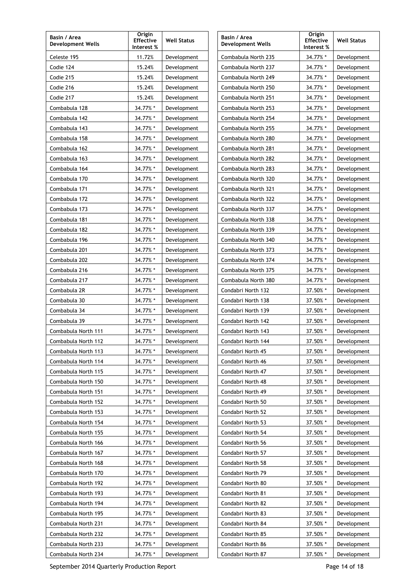| Basin / Area<br><b>Development Wells</b> | Origin<br><b>Effective</b><br>Interest % | <b>Well Status</b> | Basin / Area<br><b>Development Wells</b> | Origin<br><b>Effective</b><br>Interest % | <b>Well Status</b> |
|------------------------------------------|------------------------------------------|--------------------|------------------------------------------|------------------------------------------|--------------------|
| Celeste 195                              | 11.72%                                   | Development        | Combabula North 235                      | 34.77% *                                 | Development        |
| Codie 124                                | 15.24%                                   | Development        | Combabula North 237                      | 34.77% *                                 | Development        |
| Codie 215                                | 15.24%                                   | Development        | Combabula North 249                      | 34.77% *                                 | Development        |
| Codie 216                                | 15.24%                                   | Development        | Combabula North 250                      | 34.77% *                                 | Development        |
| Codie 217                                | 15.24%                                   | Development        | Combabula North 251                      | 34.77% *                                 | Development        |
| Combabula 128                            | 34.77% *                                 | Development        | Combabula North 253                      | 34.77% *                                 | Development        |
| Combabula 142                            | 34.77% *                                 | Development        | Combabula North 254                      | 34.77% *                                 | Development        |
| Combabula 143                            | 34.77% *                                 | Development        | Combabula North 255                      | 34.77% *                                 | Development        |
| Combabula 158                            | 34.77% *                                 | Development        | Combabula North 280                      | 34.77% *                                 | Development        |
| Combabula 162                            | 34.77% *                                 | Development        | Combabula North 281                      | 34.77% *                                 | Development        |
| Combabula 163                            | 34.77% *                                 | Development        | Combabula North 282                      | 34.77% *                                 | Development        |
| Combabula 164                            | 34.77% *                                 | Development        | Combabula North 283                      | 34.77% *                                 | Development        |
| Combabula 170                            | 34.77% *                                 | Development        | Combabula North 320                      | 34.77% *                                 | Development        |
| Combabula 171                            | 34.77% *                                 | Development        | Combabula North 321                      | 34.77% *                                 | Development        |
| Combabula 172                            | 34.77% *                                 | Development        | Combabula North 322                      | 34.77% *                                 | Development        |
| Combabula 173                            | 34.77% *                                 | Development        | Combabula North 337                      | 34.77% *                                 | Development        |
| Combabula 181                            | 34.77% *                                 | Development        | Combabula North 338                      | 34.77% *                                 | Development        |
| Combabula 182                            | 34.77% *                                 | Development        | Combabula North 339                      | 34.77% *                                 | Development        |
| Combabula 196                            | 34.77% *                                 | Development        | Combabula North 340                      | 34.77% *                                 | Development        |
| Combabula 201                            | 34.77% *                                 | Development        | Combabula North 373                      | 34.77% *                                 | Development        |
| Combabula 202                            | 34.77% *                                 | Development        | Combabula North 374                      | 34.77% *                                 | Development        |
| Combabula 216                            | 34.77% *                                 | Development        | Combabula North 375                      | 34.77% *                                 | Development        |
| Combabula 217                            | 34.77% *                                 | Development        | Combabula North 380                      | 34.77% *                                 | Development        |
| Combabula 2R                             | 34.77% *                                 | Development        | Condabri North 132                       | 37.50% *                                 | Development        |
| Combabula 30                             | 34.77% *                                 | Development        | Condabri North 138                       | 37.50% *                                 | Development        |
| Combabula 34                             | 34.77% *                                 | Development        | Condabri North 139                       | 37.50% *                                 | Development        |
| Combabula 39                             | 34.77% *                                 | Development        | Condabri North 142                       | 37.50% *                                 | Development        |
| Combabula North 111                      | 34.77% *                                 | Development        | Condabri North 143                       | 37.50% *                                 | Development        |
| Combabula North 112                      | 34.77% *                                 | Development        | Condabri North 144                       | 37.50% *                                 | Development        |
| Combabula North 113                      | 34.77% *                                 | Development        | Condabri North 45                        | 37.50% *                                 | Development        |
| Combabula North 114                      | 34.77% *                                 | Development        | Condabri North 46                        | 37.50% *                                 | Development        |
| Combabula North 115                      | 34.77% *                                 | Development        | Condabri North 47                        | 37.50% *                                 | Development        |
| Combabula North 150                      | 34.77% *                                 | Development        | Condabri North 48                        | 37.50% *                                 | Development        |
| Combabula North 151                      | 34.77% *                                 | Development        | Condabri North 49                        | 37.50% *                                 | Development        |
| Combabula North 152                      | 34.77% *                                 | Development        | Condabri North 50                        | 37.50% *                                 | Development        |
| Combabula North 153                      | 34.77% *                                 | Development        | Condabri North 52                        | 37.50% *                                 | Development        |
| Combabula North 154                      | 34.77% *                                 | Development        | Condabri North 53                        | 37.50% *                                 | Development        |
| Combabula North 155                      | 34.77% *                                 | Development        | Condabri North 54                        | 37.50% *                                 | Development        |
| Combabula North 166                      | 34.77% *                                 | Development        | Condabri North 56                        | 37.50% *                                 | Development        |
| Combabula North 167                      | 34.77% *                                 | Development        | Condabri North 57                        | 37.50% *                                 | Development        |
| Combabula North 168                      | 34.77% *                                 | Development        | Condabri North 58                        | 37.50% *                                 | Development        |
| Combabula North 170                      | 34.77% *                                 | Development        | Condabri North 79                        | 37.50% *                                 | Development        |
| Combabula North 192                      | 34.77% *                                 | Development        | Condabri North 80                        | 37.50% *                                 | Development        |
| Combabula North 193                      | 34.77% *                                 | Development        | Condabri North 81                        | 37.50% *                                 | Development        |
| Combabula North 194                      | 34.77% *                                 | Development        | Condabri North 82                        | 37.50% *                                 | Development        |
| Combabula North 195                      | 34.77% *                                 | Development        | Condabri North 83                        | 37.50% *                                 | Development        |
| Combabula North 231                      | 34.77% *                                 | Development        | Condabri North 84                        | 37.50% *                                 | Development        |
| Combabula North 232                      | 34.77% *                                 | Development        | Condabri North 85                        | 37.50% *                                 | Development        |
| Combabula North 233                      | 34.77% *                                 | Development        | Condabri North 86                        | 37.50% *                                 | Development        |
| Combabula North 234                      | 34.77% *                                 | Development        | Condabri North 87                        | 37.50% *                                 | Development        |

September 2014 Quarterly Production Report **Page 14 of 18** Page 14 of 18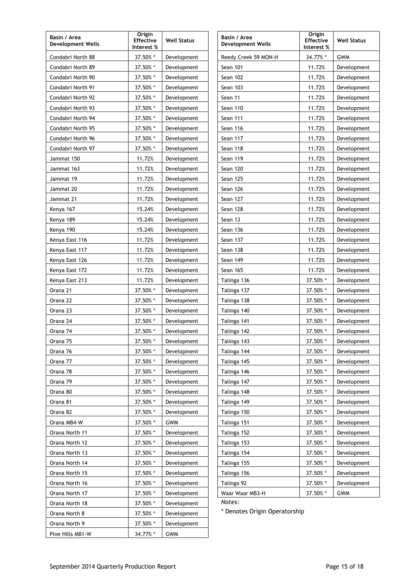| Basin / Area<br><b>Development Wells</b> | Origin<br><b>Effective</b><br>Interest % | <b>Well Status</b> | Basin / Area<br><b>Development Wells</b> | <b>Origin</b><br>Effective<br>Interest % | <b>Well Status</b> |
|------------------------------------------|------------------------------------------|--------------------|------------------------------------------|------------------------------------------|--------------------|
| Condabri North 88                        | 37.50% *                                 | Development        | Reedy Creek 59 MON-H                     | 34.77% *                                 | GWM                |
| Condabri North 89                        | 37.50% *                                 | Development        | Sean 101                                 | 11.72%                                   | Development        |
| Condabri North 90                        | 37.50% *                                 | Development        | Sean 102                                 | 11.72%                                   | Development        |
| Condabri North 91                        | 37.50% *                                 | Development        | Sean 103                                 | 11.72%                                   | Development        |
| Condabri North 92                        | 37.50% *                                 | Development        | Sean 11                                  | 11.72%                                   | Development        |
| Condabri North 93                        | 37.50% *                                 | Development        | Sean 110                                 | 11.72%                                   | Development        |
| Condabri North 94                        | 37.50% *                                 | Development        | Sean 111                                 | 11.72%                                   | Development        |
| Condabri North 95                        | 37.50% *                                 | Development        | Sean 116                                 | 11.72%                                   | Development        |
| Condabri North 96                        | 37.50% *                                 | Development        | Sean 117                                 | 11.72%                                   | Development        |
| Condabri North 97                        | 37.50% *                                 | Development        | Sean 118                                 | 11.72%                                   | Development        |
| Jammat 150                               | 11.72%                                   | Development        | Sean 119                                 | 11.72%                                   | Development        |
| Jammat 163                               | 11.72%                                   | Development        | Sean 120                                 | 11.72%                                   | Development        |
| Jammat 19                                | 11.72%                                   | Development        | Sean 125                                 | 11.72%                                   | Development        |
| Jammat 20                                | 11.72%                                   | Development        | Sean 126                                 | 11.72%                                   | Development        |
| Jammat 21                                | 11.72%                                   | Development        | Sean 127                                 | 11.72%                                   | Development        |
| Kenya 167                                | 15.24%                                   | Development        | Sean 128                                 | 11.72%                                   | Development        |
| Kenya 189                                | 15.24%                                   | Development        | Sean 13                                  | 11.72%                                   | Development        |
| Kenya 190                                | 15.24%                                   | Development        | Sean 136                                 | 11.72%                                   | Development        |
| Kenya East 116                           | 11.72%                                   | Development        | Sean 137                                 | 11.72%                                   | Development        |
| Kenya East 117                           | 11.72%                                   | Development        | Sean 138                                 | 11.72%                                   | Development        |
| Kenya East 126                           | 11.72%                                   | Development        | Sean 149                                 | 11.72%                                   | Development        |
| Kenya East 172                           | 11.72%                                   | Development        | Sean 165                                 | 11.72%                                   | Development        |
| Kenya East 213                           | 11.72%                                   | Development        | Talinga 136                              | 37.50% *                                 | Development        |
| Orana 21                                 | 37.50% *                                 | Development        | Talinga 137                              | 37.50% *                                 | Development        |
| Orana 22                                 | 37.50% *                                 | Development        | Talinga 138                              | 37.50% *                                 | Development        |
| Orana 23                                 | 37.50% *                                 | Development        | Talinga 140                              | 37.50% *                                 | Development        |
| Orana 24                                 | 37.50% *                                 | Development        | Talinga 141                              | 37.50% *                                 | Development        |
| Orana 74                                 | 37.50% *                                 | Development        | Talinga 142                              | 37.50% *                                 | Development        |
| Orana 75                                 | 37.50% *                                 | Development        | Talinga 143                              | 37.50% *                                 | Development        |
| Orana 76                                 | 37.50% *                                 | Development        | Talinga 144                              | 37.50% *                                 | Development        |
| Orana 77                                 | 37.50% *                                 | Development        | Talinga 145                              | 37.50% *                                 | Development        |
| Orana 78                                 | 37.50% *                                 | Development        | Talinga 146                              | 37.50% *                                 | Development        |
| Orana 79                                 | 37.50% *                                 | Development        | Talinga 147                              | 37.50% *                                 | Development        |
| Orana 80                                 | 37.50% *                                 | Development        | Talinga 148                              | 37.50% *                                 | Development        |
| Orana 81                                 | 37.50% *                                 | Development        | Talinga 149                              | 37.50% *                                 | Development        |
| Orana 82                                 | 37.50% *                                 | Development        | Talinga 150                              | 37.50% *                                 | Development        |
| Orana MB4-W                              | 37.50% *                                 | <b>GWM</b>         | Talinga 151                              | 37.50% *                                 | Development        |
| Orana North 11                           | 37.50% *                                 | Development        | Talinga 152                              | 37.50% *                                 | Development        |
| Orana North 12                           | 37.50% *                                 | Development        | Talinga 153                              | 37.50% *                                 | Development        |
| Orana North 13                           | 37.50% *                                 | Development        | Talinga 154                              | 37.50% *                                 | Development        |
| Orana North 14                           | 37.50% *                                 | Development        | Talinga 155                              | 37.50% *                                 | Development        |
| Orana North 15                           | 37.50% *                                 | Development        | Talinga 156                              | 37.50% *                                 | Development        |
| Orana North 16                           | 37.50% *                                 | Development        | Talinga 92                               | 37.50% *                                 | Development        |
| Orana North 17                           | 37.50% *                                 | Development        | Waar Waar MB3-H                          | 37.50% *                                 | GWM                |
| Orana North 18                           | 37.50% *                                 | Development        | Notes:                                   |                                          |                    |
| Orana North 8                            | 37.50% *                                 | Development        | * Denotes Origin Operatorship            |                                          |                    |
| Orana North 9                            | 37.50% *                                 | Development        |                                          |                                          |                    |
| Pine Hills MB1-W                         | 34.77% *                                 | <b>GWM</b>         |                                          |                                          |                    |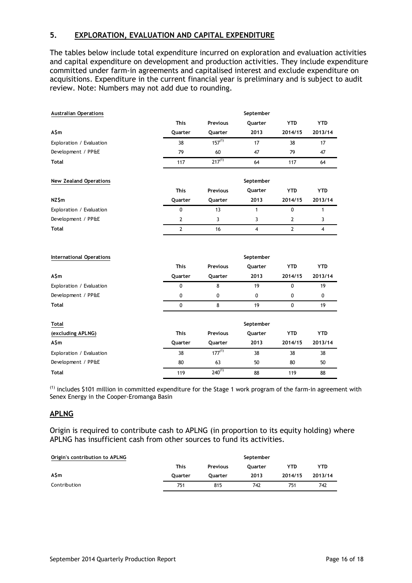### **5. EXPLORATION, EVALUATION AND CAPITAL EXPENDITURE**

The tables below include total expenditure incurred on exploration and evaluation activities and capital expenditure on development and production activities. They include expenditure committed under farm-in agreements and capitalised interest and exclude expenditure on acquisitions. Expenditure in the current financial year is preliminary and is subject to audit review. Note: Numbers may not add due to rounding.

| <b>Australian Operations</b>  |                |                 | September |            |            |
|-------------------------------|----------------|-----------------|-----------|------------|------------|
|                               | <b>This</b>    | <b>Previous</b> | Quarter   | <b>YTD</b> | <b>YTD</b> |
| A\$m                          | Quarter        | Quarter         | 2013      | 2014/15    | 2013/14    |
| Exploration / Evaluation      | 38             | $157^{(1)}$     | 17        | 38         | 17         |
| Development / PP&E            | 79             | 60              | 47        | 79         | 47         |
| <b>Total</b>                  | 117            | $217^{(1)}$     | 64        | 117        | 64         |
| <b>New Zealand Operations</b> |                |                 | September |            |            |
|                               | <b>This</b>    | <b>Previous</b> | Quarter   | <b>YTD</b> | <b>YTD</b> |
| NZ\$m                         | Quarter        | Quarter         | 2013      | 2014/15    | 2013/14    |
| Exploration / Evaluation      | 0              | 13              | 1         | 0          |            |
| Development / PP&E            | 2              | 3               | 3         | 2          | 3          |
| Total                         | $\overline{2}$ | 16              | 4         | 2          | 4          |

| <b>International Operations</b> |             |                 | September |            |            |
|---------------------------------|-------------|-----------------|-----------|------------|------------|
|                                 | <b>This</b> | <b>Previous</b> | Quarter   | <b>YTD</b> | <b>YTD</b> |
| A\$m                            | Quarter     | Quarter         | 2013      | 2014/15    | 2013/14    |
| Exploration / Evaluation        | 0           | 8               | 19        | 0          | 19         |
| Development / PP&E              | 0           | 0               | 0         | 0          | 0          |
| <b>Total</b>                    | 0           | 8               | 19        | 0          | 19         |
| Total                           |             |                 | September |            |            |
| (excluding APLNG)               | <b>This</b> | <b>Previous</b> | Quarter   | <b>YTD</b> | <b>YTD</b> |
| A\$m                            | Quarter     | Quarter         | 2013      | 2014/15    | 2013/14    |
| Exploration / Evaluation        | 38          | $177^{(1)}$     | 38        | 38         | 38         |
| Development / PP&E              | 80          | 63              | 50        | 80         | 50         |
| Total                           | 119         | $240^{(1)}$     | 88        | 119        | 88         |

(1) includes \$101 million in committed expenditure for the Stage 1 work program of the farm-in agreement with Senex Energy in the Cooper-Eromanga Basin

### **APLNG**

Origin is required to contribute cash to APLNG (in proportion to its equity holding) where APLNG has insufficient cash from other sources to fund its activities.

| Origin's contribution to APLNG | September |                 |         |            |         |  |  |
|--------------------------------|-----------|-----------------|---------|------------|---------|--|--|
|                                | This      | <b>Previous</b> | Ouarter | <b>YTD</b> | YTD     |  |  |
| A\$m                           | Ouarter   | Ouarter         | 2013    | 2014/15    | 2013/14 |  |  |
| Contribution                   | 751       | 815             | 742     | 751        | 742     |  |  |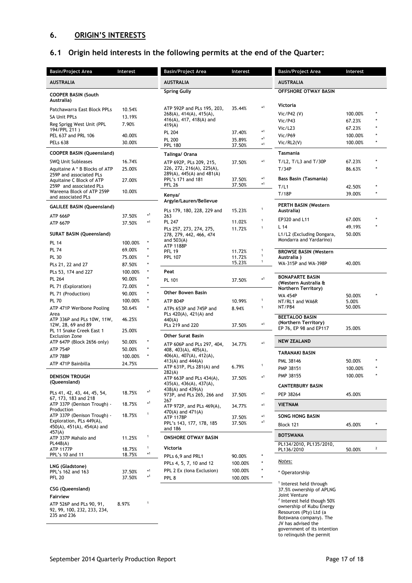# **6. ORIGIN'S INTERESTS**

# **6.1 Origin held interests in the following permits at the end of the Quarter:**

| <b>AUSTRALIA</b><br><b>COOPER BASIN (South</b><br>Australia)<br>Patchawarra East Block PPLs<br><b>SA Unit PPLs</b><br>Reg Sprigg West Unit (PPL<br>194/PPL 211)<br>PEL 637 and PRL 106<br><b>PELs 638</b><br><b>COOPER BASIN (Queensland)</b><br>SWQ Unit Subleases<br>Aquitaine A * B Blocks of ATP | 10.54%<br>13.19%<br>7.90%<br>40.00%<br>30.00%<br>16.74%<br>25.00%<br>27.00%<br>10.00% |                                         | <b>AUSTRALIA</b><br><b>Spring Gully</b><br>ATP 592P and PLs 195, 203,<br>268(A), 414(A), 415(A),<br>416(A), 417, 418(A) and<br>419(A)<br>PL 204<br><b>PL 200</b><br><b>PPL 180</b><br>Talinga/ Orana<br>ATP 692P, PLs 209, 215,<br>226, 272, 216(A), 225(A),<br>289(A), $445(A)$ and $481(A)$ | 35.44%<br>37.40%<br>35.89%<br>37.50%<br>37.50% | $\star 1$<br>$*1$<br>$*1$<br>$*1$            | <b>AUSTRALIA</b><br><b>OFFSHORE OTWAY BASIN</b><br>Victoria<br>Vic/P42 $(V)$<br>Vic/P43<br>Vic/L23<br>Vic/P69                                                                                                                                       | 100.00%<br>67.23%<br>67.23%<br>100.00% |             |
|------------------------------------------------------------------------------------------------------------------------------------------------------------------------------------------------------------------------------------------------------------------------------------------------------|---------------------------------------------------------------------------------------|-----------------------------------------|-----------------------------------------------------------------------------------------------------------------------------------------------------------------------------------------------------------------------------------------------------------------------------------------------|------------------------------------------------|----------------------------------------------|-----------------------------------------------------------------------------------------------------------------------------------------------------------------------------------------------------------------------------------------------------|----------------------------------------|-------------|
|                                                                                                                                                                                                                                                                                                      |                                                                                       |                                         |                                                                                                                                                                                                                                                                                               |                                                |                                              |                                                                                                                                                                                                                                                     |                                        |             |
|                                                                                                                                                                                                                                                                                                      |                                                                                       |                                         |                                                                                                                                                                                                                                                                                               |                                                |                                              |                                                                                                                                                                                                                                                     |                                        |             |
|                                                                                                                                                                                                                                                                                                      |                                                                                       |                                         |                                                                                                                                                                                                                                                                                               |                                                |                                              |                                                                                                                                                                                                                                                     |                                        |             |
|                                                                                                                                                                                                                                                                                                      |                                                                                       |                                         |                                                                                                                                                                                                                                                                                               |                                                |                                              | Vic/RL2(V)                                                                                                                                                                                                                                          | 100.00%                                | ŵ           |
|                                                                                                                                                                                                                                                                                                      |                                                                                       |                                         |                                                                                                                                                                                                                                                                                               |                                                |                                              | <b>Tasmania</b>                                                                                                                                                                                                                                     |                                        |             |
| 259P and associated PLs<br>Aquitaine C Block of ATP                                                                                                                                                                                                                                                  |                                                                                       |                                         | PPL's 171 and 181                                                                                                                                                                                                                                                                             | 37.50%                                         | $*1$<br>$*1$                                 | $T/L2$ , $T/L3$ and $T/30P$<br>T/34P<br>Bass Basin (Tasmania)                                                                                                                                                                                       | 67.23%<br>86.63%                       |             |
| 259P and associated PLs<br>Wareena Block of ATP 259P<br>and associated PLs                                                                                                                                                                                                                           |                                                                                       |                                         | <b>PFL 26</b><br>Kenya/<br>Argyle/Lauren/Bellevue                                                                                                                                                                                                                                             | 37.50%                                         | $*1$                                         | T/L1<br>T/18P                                                                                                                                                                                                                                       | 42.50%<br>39.00%                       | $\star$     |
| <b>GALILEE BASIN (Queensland)</b><br><b>ATP 666P</b>                                                                                                                                                                                                                                                 | 37.50%                                                                                | $*1$                                    | PLs 179, 180, 228, 229 and<br>263                                                                                                                                                                                                                                                             | 15.23%                                         | $\mathbf{1}$                                 | <b>PERTH BASIN (Western</b><br>Australia)                                                                                                                                                                                                           |                                        |             |
| <b>ATP 667P</b><br><b>SURAT BASIN (Queensland)</b>                                                                                                                                                                                                                                                   | 37.50%                                                                                | $*1$                                    | PL 247<br>PLs 257, 273, 274, 275,<br>278, 279, 442, 466, 474<br>and $503(A)$                                                                                                                                                                                                                  | 11.02%<br>11.72%                               | $\mathbf{1}$<br>$\mathbf{1}$                 | EP320 and L11<br>L <sub>14</sub><br>L1/L2 (Excluding Dongara,<br>Mondarra and Yardarino)                                                                                                                                                            | 67.00%<br>49.19%<br>50.00%             |             |
| <b>PL 14</b><br><b>PL 74</b><br><b>PL 30</b><br>PLs 21, 22 and 27                                                                                                                                                                                                                                    | 100.00%<br>69.00%<br>75.00%<br>87.50%                                                 | $\pmb{\ast}$                            | <b>ATP 1188P</b><br><b>PFL 19</b><br><b>PPL 107</b>                                                                                                                                                                                                                                           | 11.72%<br>11.72%<br>15.23%                     | $\mathbf{1}$<br>$\mathbf{1}$<br>$\mathbf{1}$ | <b>BROWSE BASIN (Western</b><br>Australia)<br>WA-315P and WA-398P                                                                                                                                                                                   | 40.00%                                 |             |
| PLs 53, 174 and 227<br>PL 264<br>PL 71 (Exploration)                                                                                                                                                                                                                                                 | 100.00%<br>90.00%<br>72.00%                                                           | $\pmb{\ast}$<br>$\star$                 | Peat<br>PL 101                                                                                                                                                                                                                                                                                | 37.50%                                         | $\star 1$                                    | <b>BONAPARTE BASIN</b><br>(Western Australia &<br>Northern Territory)                                                                                                                                                                               |                                        |             |
| PL 71 (Production)<br><b>PL 70</b><br>ATP 471P Weribone Pooling                                                                                                                                                                                                                                      | 90.00%<br>100.00%<br>50.64%                                                           | $\pmb{\ast}$<br>$\pmb{\ast}$<br>$\star$ | <b>Other Bowen Basin</b><br><b>ATP 804P</b><br>ATPs 653P and 745P and                                                                                                                                                                                                                         | 10.99%<br>8.94%                                | $\mathbf{1}$<br>$\mathbf{1}$                 | <b>WA 454P</b><br>NT/RL1 and WA6R<br><b>NT/P84</b>                                                                                                                                                                                                  | 50.00%<br>5.00%<br>50.00%              |             |
| Area<br>ATP 336P and PLs 10W, 11W,<br>12W, 28, 69 and 89<br>PL 11 Snake Creek East 1                                                                                                                                                                                                                 | 46.25%<br>25.00%                                                                      |                                         | PLs 420(A), 421(A) and<br>440(A)<br>PLs 219 and 220                                                                                                                                                                                                                                           | 37.50%                                         | $\star 1$                                    | <b>BEETALOO BASIN</b><br>(Northern Territory)<br>EP 76, EP 98 and EP117                                                                                                                                                                             | 35.00%                                 |             |
| <b>Exclusion Zone</b><br>ATP 647P (Block 2656 only)<br><b>ATP 754P</b>                                                                                                                                                                                                                               | 50.00%<br>50.00%                                                                      |                                         | <b>Other Surat Basin</b><br>ATP 606P and PLs 297, 404,<br>408, 403(A), 405(A),                                                                                                                                                                                                                | 34.77%                                         | $\star 1$                                    | <b>NEW ZEALAND</b><br><b>TARANAKI BASIN</b>                                                                                                                                                                                                         |                                        |             |
| <b>ATP 788P</b><br>ATP 471P Bainbilla                                                                                                                                                                                                                                                                | 100.00%<br>24.75%                                                                     |                                         | 406(A), 407(A), 412(A),<br>413(A) and $444(A)$<br>ATP 631P, PLs 281(A) and<br>282(A)                                                                                                                                                                                                          | 6.79%                                          | $\mathbf{1}$                                 | <b>PML 38146</b><br>PMP 38151                                                                                                                                                                                                                       | 50.00%<br>100.00%                      |             |
| <b>DENISON TROUGH</b><br>(Queensland)<br>PLs 41, 42, 43, 44, 45, 54,                                                                                                                                                                                                                                 | 18.75%                                                                                | $*1$                                    | ATP 663P and PLs $434(A)$ ,<br>435(A), 436(A), 437(A),<br>438(A) and 439(A)<br>973P, and PLs 265, 266 and                                                                                                                                                                                     | 37.50%                                         | $*1$<br>$\star 1$                            | PMP 38155<br><b>CANTERBURY BASIN</b><br>PEP 38264                                                                                                                                                                                                   | 100.00%<br>45.00%                      |             |
| 67, 173, 183 and 218<br>ATP 337P (Denison Trough) -                                                                                                                                                                                                                                                  | 18.75%                                                                                | $*1$                                    | 267<br>ATP 972P, and PLs 469(A),                                                                                                                                                                                                                                                              | 37.50%<br>34.77%                               | $\star 1$                                    | <b>VIETNAM</b>                                                                                                                                                                                                                                      |                                        |             |
| Production<br>ATP 337P (Denison Trough) -<br>Exploration, PLs 449(A),<br>450(A), 451(A), 454(A) and                                                                                                                                                                                                  | 18.75%                                                                                | $\mathbf{1}$                            | 470(A) and $471(A)$<br><b>ATP 1178P</b><br>PPL's 143, 177, 178, 185<br>and 186                                                                                                                                                                                                                | 37.50%<br>37.50%                               | $*1$<br>$*1$                                 | SONG HONG BASIN<br>Block 121                                                                                                                                                                                                                        | 45.00%                                 | ŵ           |
| 457(A)<br>ATP 337P Mahalo and<br>PL448(A)                                                                                                                                                                                                                                                            | 11.25%                                                                                | $\mathbf{1}$                            | <b>ONSHORE OTWAY BASIN</b>                                                                                                                                                                                                                                                                    |                                                |                                              | <b>BOTSWANA</b>                                                                                                                                                                                                                                     |                                        |             |
| ATP 1177P<br>PPL's 10 and 11                                                                                                                                                                                                                                                                         | 18.75%<br>18.75%                                                                      | $\mathbf{1}$<br>$*1$                    | Victoria<br>PPLs 6,9 and PRL1                                                                                                                                                                                                                                                                 | 90.00%                                         |                                              | PL134/2010, PL135/2010,<br>PL136/2010                                                                                                                                                                                                               | 50.00%                                 | $\mathbf 2$ |
| LNG (Gladstone)<br>PPL's 162 and 163<br><b>PFL 20</b>                                                                                                                                                                                                                                                | 37.50%<br>37.50%                                                                      | $*1$<br>$*1$                            | PPLs 4, 5, 7, 10 and 12<br>PPL 2 Ex (Iona Exclusion)<br>PPL <sub>8</sub>                                                                                                                                                                                                                      | 100.00%<br>100.00%<br>100.00%                  |                                              | Notes:<br>* Operatorship<br>Interest held through                                                                                                                                                                                                   |                                        |             |
| CSG (Queensland)<br>Fairview<br>ATP 526P and PLs 90, 91,<br>92, 99, 100, 232, 233, 234,<br>235 and 236                                                                                                                                                                                               | 8.97%                                                                                 | $\mathbf{1}$                            |                                                                                                                                                                                                                                                                                               |                                                |                                              | 37.5% ownership of APLNG<br>Joint Venture<br><sup>2</sup> Interest held though 50%<br>ownership of Kubu Energy<br>Resources (Pty) Ltd (a<br>Botswana company). The<br>JV has advised the<br>government of its intention<br>to relinquish the permit |                                        |             |